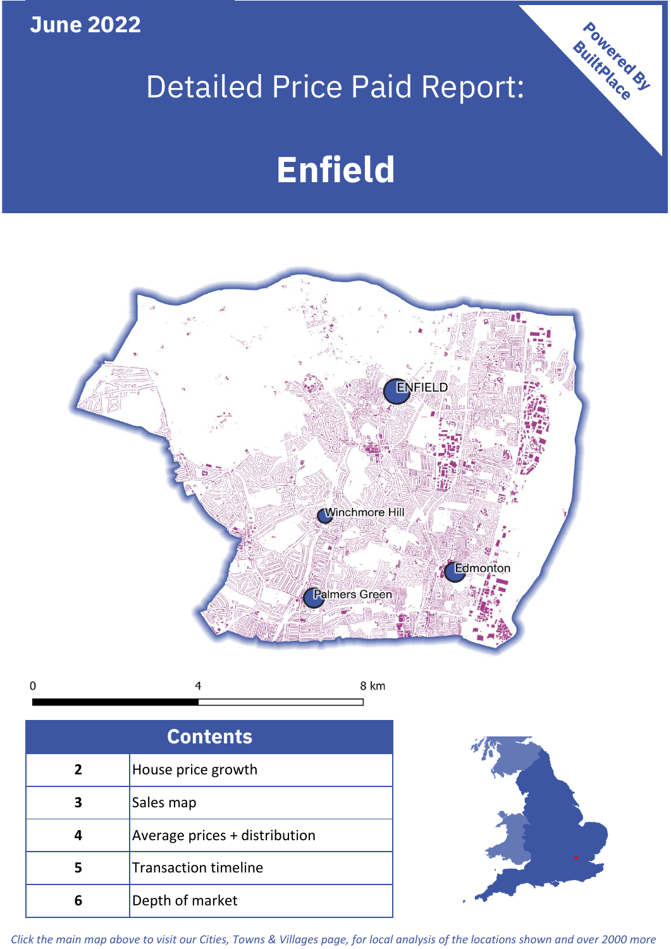**June 2022**

# Detailed Price Paid Report:

# **Enfield**



 $\mathbf 0$ 8 km

| <b>Contents</b> |                               |  |  |
|-----------------|-------------------------------|--|--|
| $\overline{2}$  | House price growth            |  |  |
|                 | Sales map                     |  |  |
|                 | Average prices + distribution |  |  |
|                 | <b>Transaction timeline</b>   |  |  |
| ĥ               | Depth of market               |  |  |



Powered By

*Click the main map above to visit our Cities, Towns & Villages page, for local analysis of the locations shown and over 2000 more*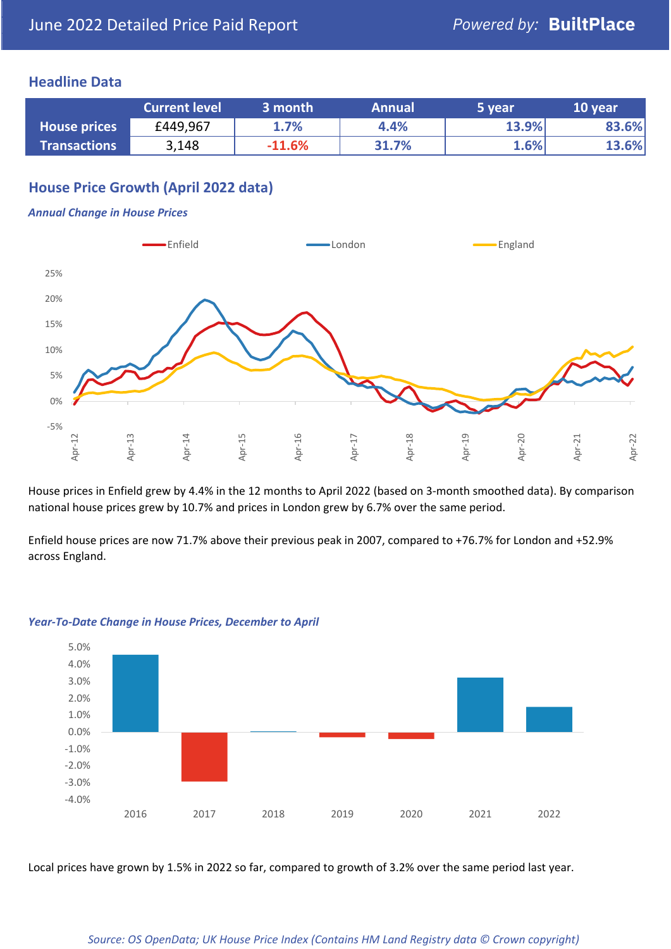### **Headline Data**

|                     | <b>Current level</b> | $\mathsf{\scriptstyle l}$ 3 month $\mathsf{\scriptstyle l}$ | <b>Annual</b> | '5 year | 10 year |
|---------------------|----------------------|-------------------------------------------------------------|---------------|---------|---------|
| <b>House prices</b> | £449,967             | 1.7%                                                        | 4.4%          | 13.9%   | 83.6%   |
| <b>Transactions</b> | 3,148                | $-11.6%$                                                    | 31.7%         | $1.6\%$ | 13.6%   |

# **House Price Growth (April 2022 data)**

#### *Annual Change in House Prices*



House prices in Enfield grew by 4.4% in the 12 months to April 2022 (based on 3-month smoothed data). By comparison national house prices grew by 10.7% and prices in London grew by 6.7% over the same period.

Enfield house prices are now 71.7% above their previous peak in 2007, compared to +76.7% for London and +52.9% across England.



#### *Year-To-Date Change in House Prices, December to April*

Local prices have grown by 1.5% in 2022 so far, compared to growth of 3.2% over the same period last year.

#### *Source: OS OpenData; UK House Price Index (Contains HM Land Registry data © Crown copyright)*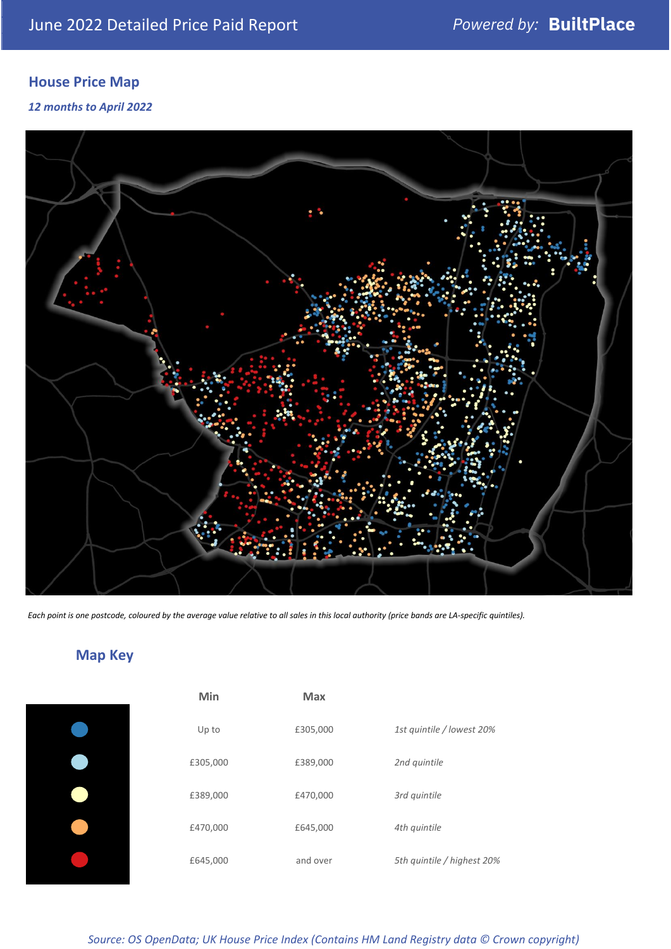# **House Price Map**

*12 months to April 2022*



*Each point is one postcode, coloured by the average value relative to all sales in this local authority (price bands are LA-specific quintiles).*

**Map Key**

| Min      | <b>Max</b> |                            |
|----------|------------|----------------------------|
| Up to    | £305,000   | 1st quintile / lowest 20%  |
| £305,000 | £389,000   | 2nd quintile               |
| £389,000 | £470,000   | 3rd quintile               |
| £470,000 | £645,000   | 4th quintile               |
| £645,000 | and over   | 5th quintile / highest 20% |

## *Source: OS OpenData; UK House Price Index (Contains HM Land Registry data © Crown copyright)*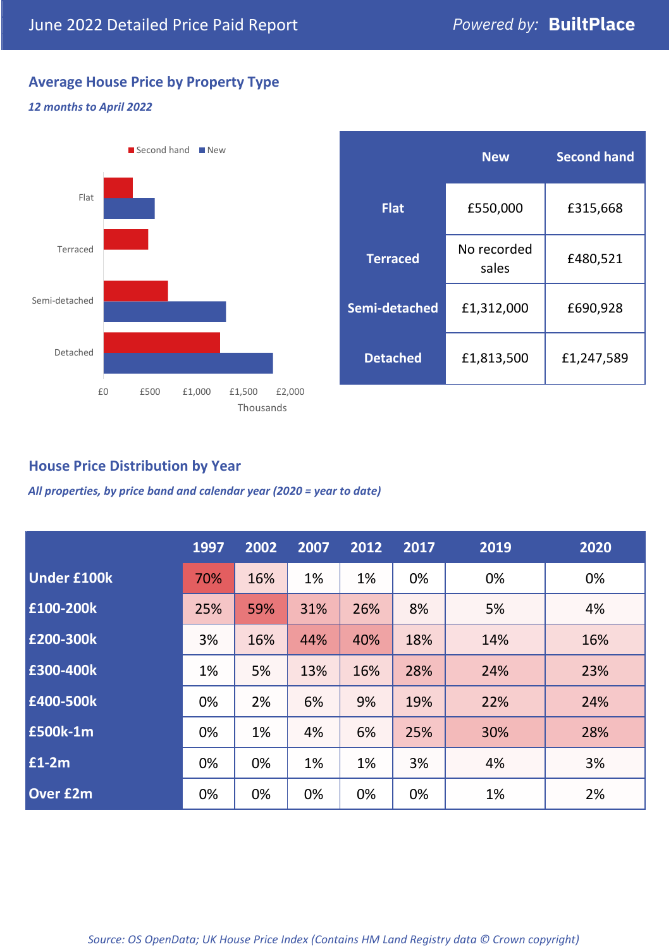# **Average House Price by Property Type**

#### *12 months to April 2022*



|                 | <b>New</b>           | <b>Second hand</b> |  |
|-----------------|----------------------|--------------------|--|
| <b>Flat</b>     | £550,000             | £315,668           |  |
| <b>Terraced</b> | No recorded<br>sales | £480,521           |  |
| Semi-detached   | £1,312,000           | £690,928           |  |
| <b>Detached</b> | £1,813,500           | £1,247,589         |  |

# **House Price Distribution by Year**

*All properties, by price band and calendar year (2020 = year to date)*

|                    | 1997 | 2002 | 2007 | 2012 | 2017 | 2019 | 2020 |
|--------------------|------|------|------|------|------|------|------|
| <b>Under £100k</b> | 70%  | 16%  | 1%   | 1%   | 0%   | 0%   | 0%   |
| £100-200k          | 25%  | 59%  | 31%  | 26%  | 8%   | 5%   | 4%   |
| E200-300k          | 3%   | 16%  | 44%  | 40%  | 18%  | 14%  | 16%  |
| £300-400k          | 1%   | 5%   | 13%  | 16%  | 28%  | 24%  | 23%  |
| £400-500k          | 0%   | 2%   | 6%   | 9%   | 19%  | 22%  | 24%  |
| <b>£500k-1m</b>    | 0%   | 1%   | 4%   | 6%   | 25%  | 30%  | 28%  |
| £1-2m              | 0%   | 0%   | 1%   | 1%   | 3%   | 4%   | 3%   |
| <b>Over £2m</b>    | 0%   | 0%   | 0%   | 0%   | 0%   | 1%   | 2%   |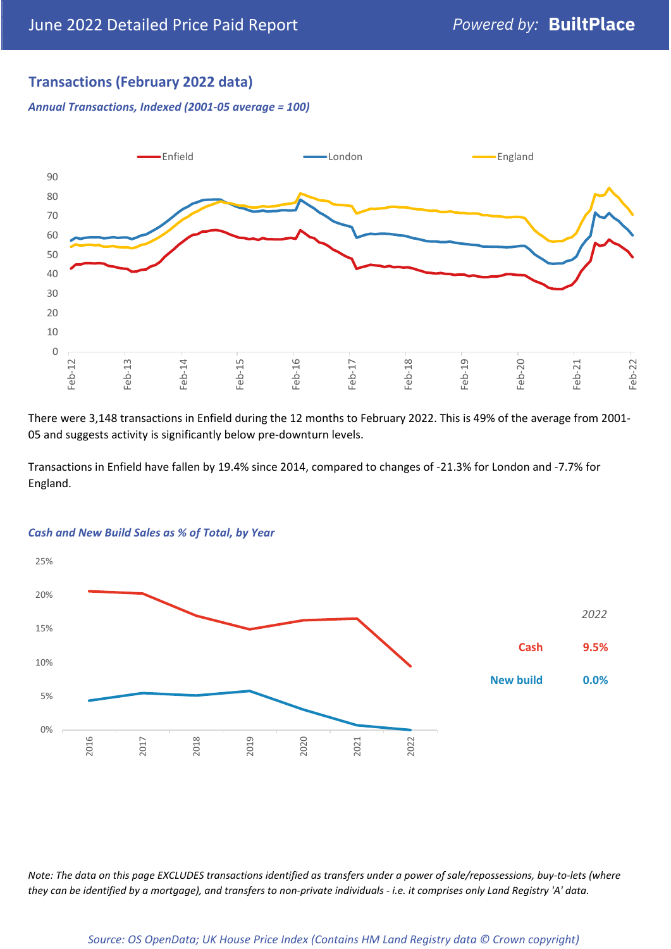# **Transactions (February 2022 data)**

*Annual Transactions, Indexed (2001-05 average = 100)*



There were 3,148 transactions in Enfield during the 12 months to February 2022. This is 49% of the average from 2001- 05 and suggests activity is significantly below pre-downturn levels.

Transactions in Enfield have fallen by 19.4% since 2014, compared to changes of -21.3% for London and -7.7% for England.



#### *Cash and New Build Sales as % of Total, by Year*

*Note: The data on this page EXCLUDES transactions identified as transfers under a power of sale/repossessions, buy-to-lets (where they can be identified by a mortgage), and transfers to non-private individuals - i.e. it comprises only Land Registry 'A' data.*